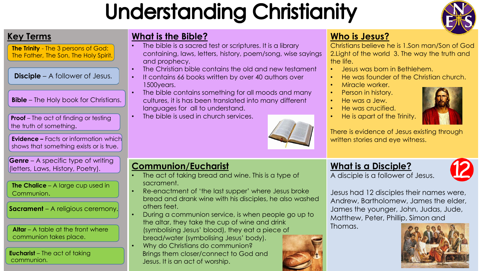# **Understanding Christianity**



**The Trinity** - The 3 persons of God: The Father, The Son, The Holy Spirit.

**Disciple** – A follower of Jesus.

**Bible** – The Holy book for Christians.

**Proof** – The act of finding or testing the truth of something.

**Evidence –** Facts or information which shows that something exists or is true.

**Genre** – A specific type of writing (letters, Laws, History, Poetry).

**The Chalice** – A large cup used in Communion.

**Sacrament** – A religious ceremony.

**Altar** – A table at the front where communion takes place.

**Eucharist** – The act of taking communion.

## **Key Terms** What is the Bible?

- The bible is a sacred test or scriptures. It is a library containing, laws, letters, history, poem/song, wise sayings and prophecy.
- The Christian bible contains the old and new testament
- It contains 66 books written by over 40 authors over 1500years.
- The bible contains something for all moods and many cultures, it is has been translated into many different languages for all to understand.
- The bible is used in church services.



### **Communion/Eucharist**

- The act of taking bread and wine. This is a type of sacrament.
- Re-enactment of 'the last supper' where Jesus broke bread and drank wine with his disciples, he also washed others feet.
- During a communion service, is when people go up to the altar, they take the cup of wine and drink (symbolising Jesus' blood), they eat a piece of bread/water (symbolising Jesus' body). • Why do Christians do communion? Brings them closer/connect to God and Jesus. It is an act of worship.

### **Who is Jesus?**



- Jesus was born in Bethlehem.
- He was founder of the Christian church.
- Miracle worker.
- Person in history.
- He was a Jew.
- He was crucified.
- He is apart of the Trinity.



There is evidence of Jesus existing through written stories and eye witness.

### **What is a Disciple?**

A disciple is a follower of Jesus.



Jesus had 12 disciples their names were, Andrew, Bartholomew, James the elder, James the younger, John, Judas, Jude, Matthew, Peter, Phillip, Simon and

Thomas.